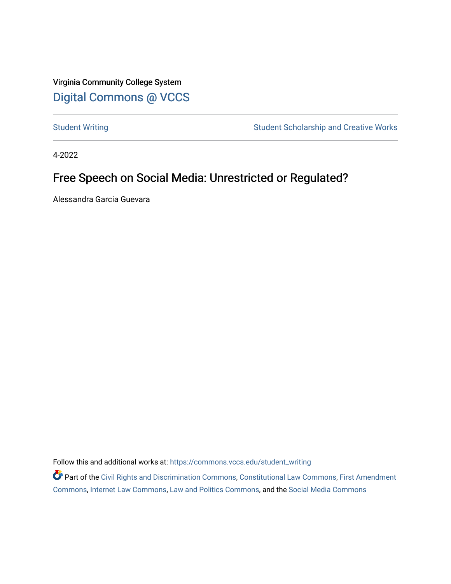Virginia Community College System [Digital Commons @ VCCS](https://commons.vccs.edu/)

[Student Writing](https://commons.vccs.edu/student_writing) Student Scholarship and Creative Works

4-2022

## Free Speech on Social Media: Unrestricted or Regulated?

Alessandra Garcia Guevara

Follow this and additional works at: [https://commons.vccs.edu/student\\_writing](https://commons.vccs.edu/student_writing?utm_source=commons.vccs.edu%2Fstudent_writing%2F54&utm_medium=PDF&utm_campaign=PDFCoverPages) 

Part of the [Civil Rights and Discrimination Commons,](http://network.bepress.com/hgg/discipline/585?utm_source=commons.vccs.edu%2Fstudent_writing%2F54&utm_medium=PDF&utm_campaign=PDFCoverPages) [Constitutional Law Commons,](http://network.bepress.com/hgg/discipline/589?utm_source=commons.vccs.edu%2Fstudent_writing%2F54&utm_medium=PDF&utm_campaign=PDFCoverPages) [First Amendment](http://network.bepress.com/hgg/discipline/1115?utm_source=commons.vccs.edu%2Fstudent_writing%2F54&utm_medium=PDF&utm_campaign=PDFCoverPages) [Commons](http://network.bepress.com/hgg/discipline/1115?utm_source=commons.vccs.edu%2Fstudent_writing%2F54&utm_medium=PDF&utm_campaign=PDFCoverPages), [Internet Law Commons](http://network.bepress.com/hgg/discipline/892?utm_source=commons.vccs.edu%2Fstudent_writing%2F54&utm_medium=PDF&utm_campaign=PDFCoverPages), [Law and Politics Commons](http://network.bepress.com/hgg/discipline/867?utm_source=commons.vccs.edu%2Fstudent_writing%2F54&utm_medium=PDF&utm_campaign=PDFCoverPages), and the [Social Media Commons](http://network.bepress.com/hgg/discipline/1249?utm_source=commons.vccs.edu%2Fstudent_writing%2F54&utm_medium=PDF&utm_campaign=PDFCoverPages)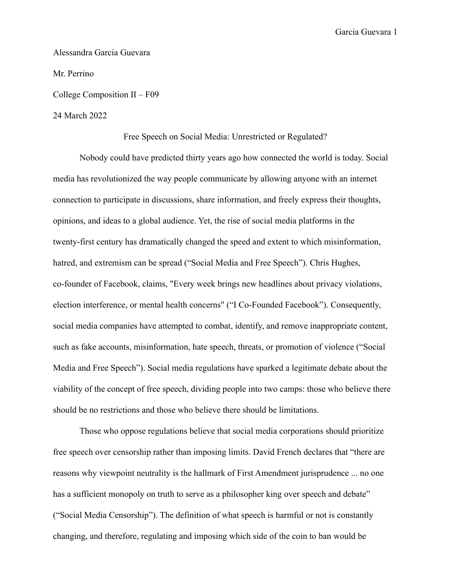Garcia Guevara 1

Alessandra Garcia Guevara Mr. Perrino College Composition II – F09

24 March 2022

Free Speech on Social Media: Unrestricted or Regulated?

Nobody could have predicted thirty years ago how connected the world is today. Social media has revolutionized the way people communicate by allowing anyone with an internet connection to participate in discussions, share information, and freely express their thoughts, opinions, and ideas to a global audience. Yet, the rise of social media platforms in the twenty-first century has dramatically changed the speed and extent to which misinformation, hatred, and extremism can be spread ("Social Media and Free Speech"). Chris Hughes, co-founder of Facebook, claims, "Every week brings new headlines about privacy violations, election interference, or mental health concerns" ("I Co-Founded Facebook"). Consequently, social media companies have attempted to combat, identify, and remove inappropriate content, such as fake accounts, misinformation, hate speech, threats, or promotion of violence ("Social Media and Free Speech"). Social media regulations have sparked a legitimate debate about the viability of the concept of free speech, dividing people into two camps: those who believe there should be no restrictions and those who believe there should be limitations.

Those who oppose regulations believe that social media corporations should prioritize free speech over censorship rather than imposing limits. David French declares that "there are reasons why viewpoint neutrality is the hallmark of First Amendment jurisprudence ... no one has a sufficient monopoly on truth to serve as a philosopher king over speech and debate" ("Social Media Censorship"). The definition of what speech is harmful or not is constantly changing, and therefore, regulating and imposing which side of the coin to ban would be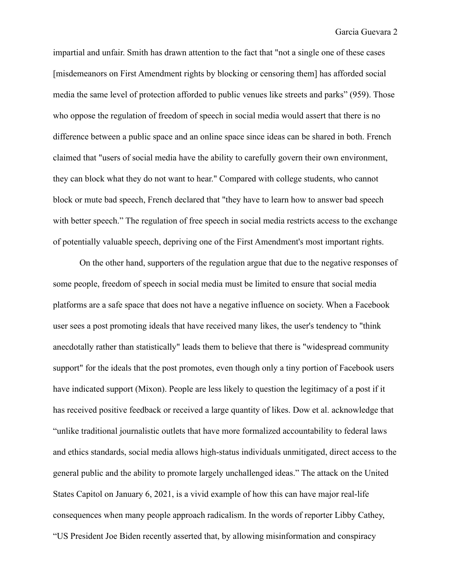impartial and unfair. Smith has drawn attention to the fact that "not a single one of these cases [misdemeanors on First Amendment rights by blocking or censoring them] has afforded social media the same level of protection afforded to public venues like streets and parks" (959). Those who oppose the regulation of freedom of speech in social media would assert that there is no difference between a public space and an online space since ideas can be shared in both. French claimed that "users of social media have the ability to carefully govern their own environment, they can block what they do not want to hear." Compared with college students, who cannot block or mute bad speech, French declared that "they have to learn how to answer bad speech with better speech." The regulation of free speech in social media restricts access to the exchange of potentially valuable speech, depriving one of the First Amendment's most important rights.

On the other hand, supporters of the regulation argue that due to the negative responses of some people, freedom of speech in social media must be limited to ensure that social media platforms are a safe space that does not have a negative influence on society. When a Facebook user sees a post promoting ideals that have received many likes, the user's tendency to "think anecdotally rather than statistically" leads them to believe that there is "widespread community support" for the ideals that the post promotes, even though only a tiny portion of Facebook users have indicated support (Mixon). People are less likely to question the legitimacy of a post if it has received positive feedback or received a large quantity of likes. Dow et al. acknowledge that "unlike traditional journalistic outlets that have more formalized accountability to federal laws and ethics standards, social media allows high-status individuals unmitigated, direct access to the general public and the ability to promote largely unchallenged ideas." The attack on the United States Capitol on January 6, 2021, is a vivid example of how this can have major real-life consequences when many people approach radicalism. In the words of reporter Libby Cathey, "US President Joe Biden recently asserted that, by allowing misinformation and conspiracy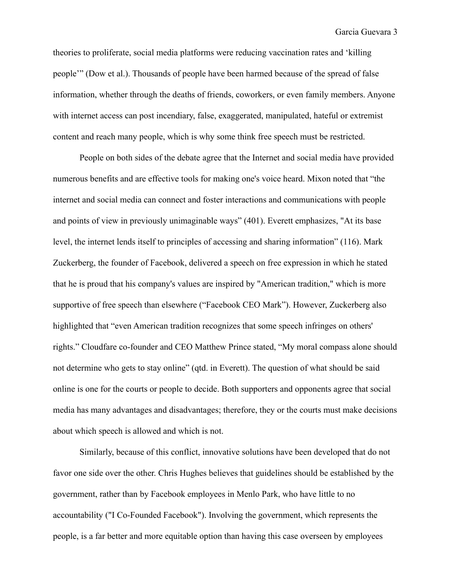theories to proliferate, social media platforms were reducing vaccination rates and 'killing people'" (Dow et al.). Thousands of people have been harmed because of the spread of false information, whether through the deaths of friends, coworkers, or even family members. Anyone with internet access can post incendiary, false, exaggerated, manipulated, hateful or extremist content and reach many people, which is why some think free speech must be restricted.

People on both sides of the debate agree that the Internet and social media have provided numerous benefits and are effective tools for making one's voice heard. Mixon noted that "the internet and social media can connect and foster interactions and communications with people and points of view in previously unimaginable ways" (401). Everett emphasizes, "At its base level, the internet lends itself to principles of accessing and sharing information" (116). Mark Zuckerberg, the founder of Facebook, delivered a speech on free expression in which he stated that he is proud that his company's values are inspired by "American tradition," which is more supportive of free speech than elsewhere ("Facebook CEO Mark"). However, Zuckerberg also highlighted that "even American tradition recognizes that some speech infringes on others' rights." Cloudfare co-founder and CEO Matthew Prince stated, "My moral compass alone should not determine who gets to stay online" (qtd. in Everett). The question of what should be said online is one for the courts or people to decide. Both supporters and opponents agree that social media has many advantages and disadvantages; therefore, they or the courts must make decisions about which speech is allowed and which is not.

Similarly, because of this conflict, innovative solutions have been developed that do not favor one side over the other. Chris Hughes believes that guidelines should be established by the government, rather than by Facebook employees in Menlo Park, who have little to no accountability ("I Co-Founded Facebook"). Involving the government, which represents the people, is a far better and more equitable option than having this case overseen by employees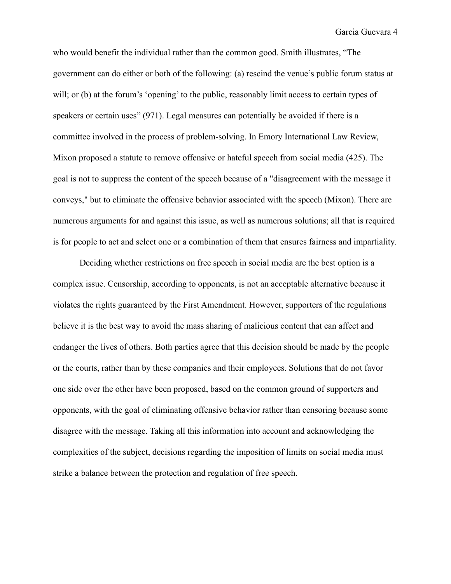Garcia Guevara 4

who would benefit the individual rather than the common good. Smith illustrates, "The government can do either or both of the following: (a) rescind the venue's public forum status at will; or (b) at the forum's 'opening' to the public, reasonably limit access to certain types of speakers or certain uses" (971). Legal measures can potentially be avoided if there is a committee involved in the process of problem-solving. In Emory International Law Review, Mixon proposed a statute to remove offensive or hateful speech from social media (425). The goal is not to suppress the content of the speech because of a "disagreement with the message it conveys," but to eliminate the offensive behavior associated with the speech (Mixon). There are numerous arguments for and against this issue, as well as numerous solutions; all that is required is for people to act and select one or a combination of them that ensures fairness and impartiality.

Deciding whether restrictions on free speech in social media are the best option is a complex issue. Censorship, according to opponents, is not an acceptable alternative because it violates the rights guaranteed by the First Amendment. However, supporters of the regulations believe it is the best way to avoid the mass sharing of malicious content that can affect and endanger the lives of others. Both parties agree that this decision should be made by the people or the courts, rather than by these companies and their employees. Solutions that do not favor one side over the other have been proposed, based on the common ground of supporters and opponents, with the goal of eliminating offensive behavior rather than censoring because some disagree with the message. Taking all this information into account and acknowledging the complexities of the subject, decisions regarding the imposition of limits on social media must strike a balance between the protection and regulation of free speech.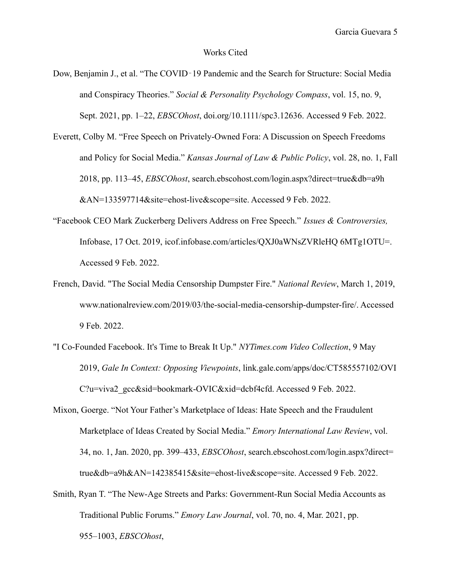## Works Cited

Dow, Benjamin J., et al. "The COVID‐19 Pandemic and the Search for Structure: Social Media and Conspiracy Theories." *Social & Personality Psychology Compass*, vol. 15, no. 9, Sept. 2021, pp. 1–22, *EBSCOhost*, doi.org/10.1111/spc3.12636. Accessed 9 Feb. 2022.

Everett, Colby M. "Free Speech on Privately-Owned Fora: A Discussion on Speech Freedoms and Policy for Social Media." *Kansas Journal of Law & Public Policy*, vol. 28, no. 1, Fall 2018, pp. 113–45, *EBSCOhost*, search.ebscohost.com/login.aspx?direct=true&db=a9h &AN=133597714&site=ehost-live&scope=site. Accessed 9 Feb. 2022.

- "Facebook CEO Mark Zuckerberg Delivers Address on Free Speech." *Issues & Controversies,* Infobase, 17 Oct. 2019, icof.infobase.com/articles/QXJ0aWNsZVRleHQ 6MTg1OTU=. Accessed 9 Feb. 2022.
- French, David. "The Social Media Censorship Dumpster Fire." *National Review*, March 1, 2019, www.nationalreview.com/2019/03/the-social-media-censorship-dumpster-fire/. Accessed 9 Feb. 2022.
- "I Co-Founded Facebook. It's Time to Break It Up." *NYTimes.com Video Collection*, 9 May 2019, *Gale In Context: Opposing Viewpoints*, link.gale.com/apps/doc/CT585557102/OVI C?u=viva2\_gcc&sid=bookmark-OVIC&xid=dcbf4cfd. Accessed 9 Feb. 2022.

Mixon, Goerge. "Not Your Father's Marketplace of Ideas: Hate Speech and the Fraudulent Marketplace of Ideas Created by Social Media." *Emory International Law Review*, vol. 34, no. 1, Jan. 2020, pp. 399–433, *EBSCOhost*, search.ebscohost.com/login.aspx?direct= true&db=a9h&AN=142385415&site=ehost-live&scope=site. Accessed 9 Feb. 2022.

Smith, Ryan T. "The New-Age Streets and Parks: Government-Run Social Media Accounts as Traditional Public Forums." *Emory Law Journal*, vol. 70, no. 4, Mar. 2021, pp. 955–1003, *EBSCOhost*,